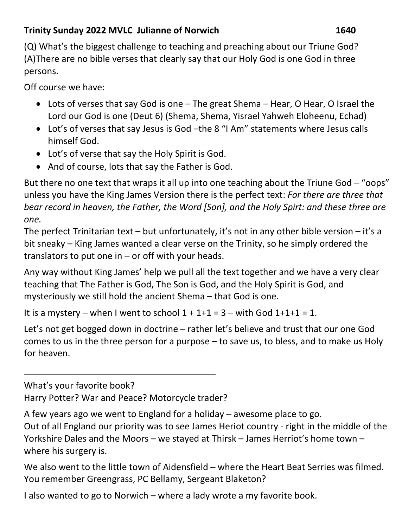## **Trinity Sunday 2022 MVLC Julianne of Norwich 1640**

(Q) What's the biggest challenge to teaching and preaching about our Triune God? (A)There are no bible verses that clearly say that our Holy God is one God in three persons.

Off course we have:

- Lots of verses that say God is one The great Shema Hear, O Hear, O Israel the Lord our God is one (Deut 6) (Shema, Shema, Yisrael Yahweh Eloheenu, Echad)
- Lot's of verses that say Jesus is God –the 8 "I Am" statements where Jesus calls himself God.
- Lot's of verse that say the Holy Spirit is God.
- And of course, lots that say the Father is God.

But there no one text that wraps it all up into one teaching about the Triune God  $-$  "oops" unless you have the King James Version there is the perfect text: *For there are three that bear record in heaven, the Father, the Word [Son], and the Holy Spirt: and these three are one.* 

The perfect Trinitarian text – but unfortunately, it's not in any other bible version – it's a bit sneaky – King James wanted a clear verse on the Trinity, so he simply ordered the translators to put one in – or off with your heads.

Any way without King James' help we pull all the text together and we have a very clear teaching that The Father is God, The Son is God, and the Holy Spirit is God, and mysteriously we still hold the ancient Shema – that God is one.

It is a mystery – when I went to school  $1 + 1 + 1 = 3$  – with God  $1 + 1 + 1 = 1$ .

Let's not get bogged down in doctrine – rather let's believe and trust that our one God comes to us in the three person for a purpose – to save us, to bless, and to make us Holy for heaven.

What's your favorite book?

l

Harry Potter? War and Peace? Motorcycle trader?

A few years ago we went to England for a holiday – awesome place to go.

Out of all England our priority was to see James Heriot country - right in the middle of the Yorkshire Dales and the Moors – we stayed at Thirsk – James Herriot's home town – where his surgery is.

We also went to the little town of Aidensfield – where the Heart Beat Serries was filmed. You remember Greengrass, PC Bellamy, Sergeant Blaketon?

I also wanted to go to Norwich – where a lady wrote a my favorite book.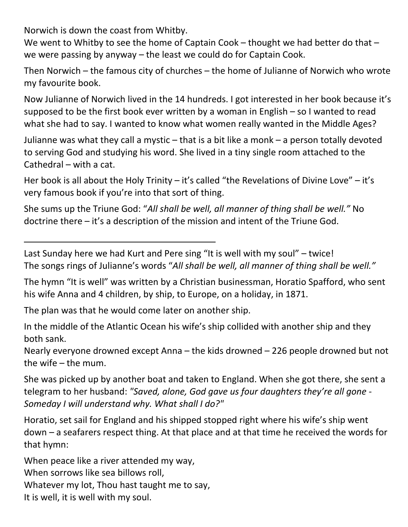Norwich is down the coast from Whitby.

l

We went to Whitby to see the home of Captain Cook – thought we had better do that – we were passing by anyway – the least we could do for Captain Cook.

Then Norwich – the famous city of churches – the home of Julianne of Norwich who wrote my favourite book.

Now Julianne of Norwich lived in the 14 hundreds. I got interested in her book because it's supposed to be the first book ever written by a woman in English – so I wanted to read what she had to say. I wanted to know what women really wanted in the Middle Ages?

Julianne was what they call a mystic – that is a bit like a monk – a person totally devoted to serving God and studying his word. She lived in a tiny single room attached to the Cathedral – with a cat.

Her book is all about the Holy Trinity – it's called "the Revelations of Divine Love" – it's very famous book if you're into that sort of thing.

She sums up the Triune God: "*All shall be well, all manner of thing shall be well."* No doctrine there – it's a description of the mission and intent of the Triune God.

Last Sunday here we had Kurt and Pere sing "It is well with my soul" – twice! The songs rings of Julianne's words "*All shall be well, all manner of thing shall be well."*

The hymn "It is well" was written by a Christian businessman, Horatio Spafford, who sent his wife Anna and 4 children, by ship, to Europe, on a holiday, in 1871.

The plan was that he would come later on another ship.

In the middle of the Atlantic Ocean his wife's ship collided with another ship and they both sank.

Nearly everyone drowned except Anna – the kids drowned – 226 people drowned but not the wife – the mum.

She was picked up by another boat and taken to England. When she got there, she sent a telegram to her husband: *"Saved, alone, God gave us four daughters they're all gone - Someday I will understand why. What shall I do?"* 

Horatio, set sail for England and his shipped stopped right where his wife's ship went down – a seafarers respect thing. At that place and at that time he received the words for that hymn:

When peace like a river attended my way, When sorrows like sea billows roll. Whatever my lot, Thou hast taught me to say, It is well, it is well with my soul.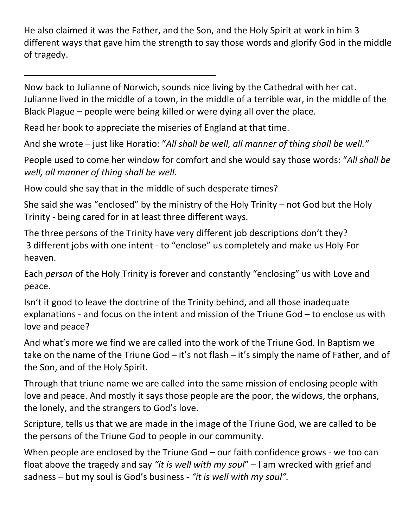He also claimed it was the Father, and the Son, and the Holy Spirit at work in him 3 different ways that gave him the strength to say those words and glorify God in the middle of tragedy.

Now back to Julianne of Norwich, sounds nice living by the Cathedral with her cat. Julianne lived in the middle of a town, in the middle of a terrible war, in the middle of the Black Plague – people were being killed or were dying all over the place.

Read her book to appreciate the miseries of England at that time.

l

And she wrote – just like Horatio: "*All shall be well, all manner of thing shall be well."*

People used to come her window for comfort and she would say those words: "*All shall be well, all manner of thing shall be well.* 

How could she say that in the middle of such desperate times?

She said she was "enclosed" by the ministry of the Holy Trinity – not God but the Holy Trinity - being cared for in at least three different ways.

The three persons of the Trinity have very different job descriptions don't they? 3 different jobs with one intent - to "enclose" us completely and make us Holy For heaven.

Each *person* of the Holy Trinity is forever and constantly "enclosing" us with Love and peace.

Isn't it good to leave the doctrine of the Trinity behind, and all those inadequate explanations - and focus on the intent and mission of the Triune God – to enclose us with love and peace?

And what's more we find we are called into the work of the Triune God. In Baptism we take on the name of the Triune God – it's not flash – it's simply the name of Father, and of the Son, and of the Holy Spirit.

Through that triune name we are called into the same mission of enclosing people with love and peace. And mostly it says those people are the poor, the widows, the orphans, the lonely, and the strangers to God's love.

Scripture, tells us that we are made in the image of the Triune God, we are called to be the persons of the Triune God to people in our community.

When people are enclosed by the Triune God – our faith confidence grows - we too can float above the tragedy and say *"it is well with my soul*" – I am wrecked with grief and sadness – but my soul is God's business - *"it is well with my soul".*